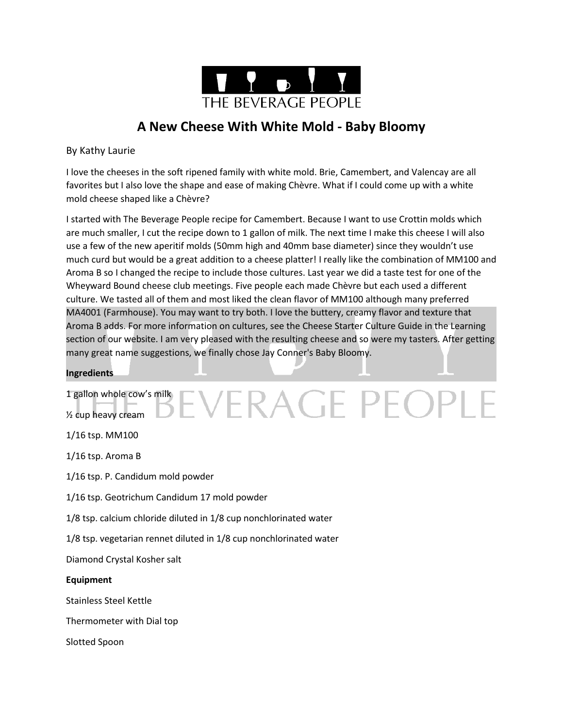

# **A New Cheese With White Mold - Baby Bloomy**

### By Kathy Laurie

I love the cheeses in the soft ripened family with white mold. Brie, Camembert, and Valencay are all favorites but I also love the shape and ease of making Chèvre. What if I could come up with a white mold cheese shaped like a Chèvre?

I started with The Beverage People recipe for Camembert. Because I want to use Crottin molds which are much smaller, I cut the recipe down to 1 gallon of milk. The next time I make this cheese I will also use a few of the new aperitif molds (50mm high and 40mm base diameter) since they wouldn't use much curd but would be a great addition to a cheese platter! I really like the combination of MM100 and Aroma B so I changed the recipe to include those cultures. Last year we did a taste test for one of the Wheyward Bound cheese club meetings. Five people each made Chèvre but each used a different culture. We tasted all of them and most liked the clean flavor of MM100 although many preferred MA4001 (Farmhouse). You may want to try both. I love the buttery, creamy flavor and texture that Aroma B adds. For more information on cultures, see the Cheese Starter Culture Guide in the Learning section of our website. I am very pleased with the resulting cheese and so were my tasters. After getting many great name suggestions, we finally chose Jay Conner's Baby Bloomy.

EVERAGE PEOPLE

### **Ingredients**

## 1 gallon whole cow's milk

½ cup heavy cream

1/16 tsp. MM100

1/16 tsp. Aroma B

1/16 tsp. P. Candidum mold powder

1/16 tsp. Geotrichum Candidum 17 mold powder

1/8 tsp. calcium chloride diluted in 1/8 cup nonchlorinated water

1/8 tsp. vegetarian rennet diluted in 1/8 cup nonchlorinated water

Diamond Crystal Kosher salt

### **Equipment**

Stainless Steel Kettle

Thermometer with Dial top

Slotted Spoon